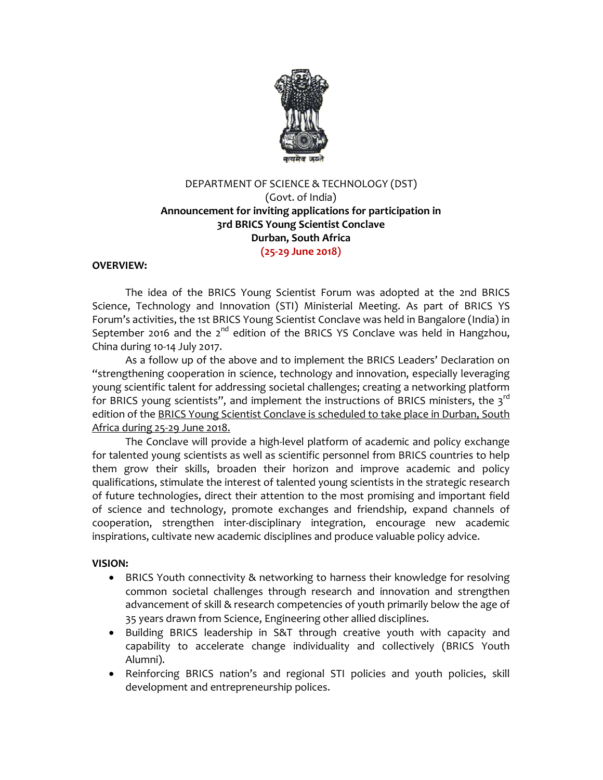

# DEPARTMENT OF SCIENCE & TECHNOLOGY (DST) (Govt. of India) **Announcement for inviting applications for participation in 3rd BRICS Young Scientist Conclave Durban, South Africa (25-29 June 2018)**

## **OVERVIEW:**

The idea of the BRICS Young Scientist Forum was adopted at the 2nd BRICS Science, Technology and Innovation (STI) Ministerial Meeting. As part of BRICS YS Forum's activities, the 1st BRICS Young Scientist Conclave was held in Bangalore (India) in September 2016 and the 2<sup>nd</sup> edition of the BRICS YS Conclave was held in Hangzhou, China during 10-14 July 2017.

As a follow up of the above and to implement the BRICS Leaders' Declaration on "strengthening cooperation in science, technology and innovation, especially leveraging young scientific talent for addressing societal challenges; creating a networking platform for BRICS young scientists", and implement the instructions of BRICS ministers, the  $3^{rd}$ edition of the BRICS Young Scientist Conclave is scheduled to take place in Durban, South Africa during 25-29 June 2018.

The Conclave will provide a high-level platform of academic and policy exchange for talented young scientists as well as scientific personnel from BRICS countries to help them grow their skills, broaden their horizon and improve academic and policy qualifications, stimulate the interest of talented young scientists in the strategic research of future technologies, direct their attention to the most promising and important field of science and technology, promote exchanges and friendship, expand channels of cooperation, strengthen inter-disciplinary integration, encourage new academic inspirations, cultivate new academic disciplines and produce valuable policy advice.

### **VISION:**

- BRICS Youth connectivity & networking to harness their knowledge for resolving common societal challenges through research and innovation and strengthen advancement of skill & research competencies of youth primarily below the age of 35 years drawn from Science, Engineering other allied disciplines.
- Building BRICS leadership in S&T through creative youth with capacity and capability to accelerate change individuality and collectively (BRICS Youth Alumni).
- Reinforcing BRICS nation's and regional STI policies and youth policies, skill development and entrepreneurship polices.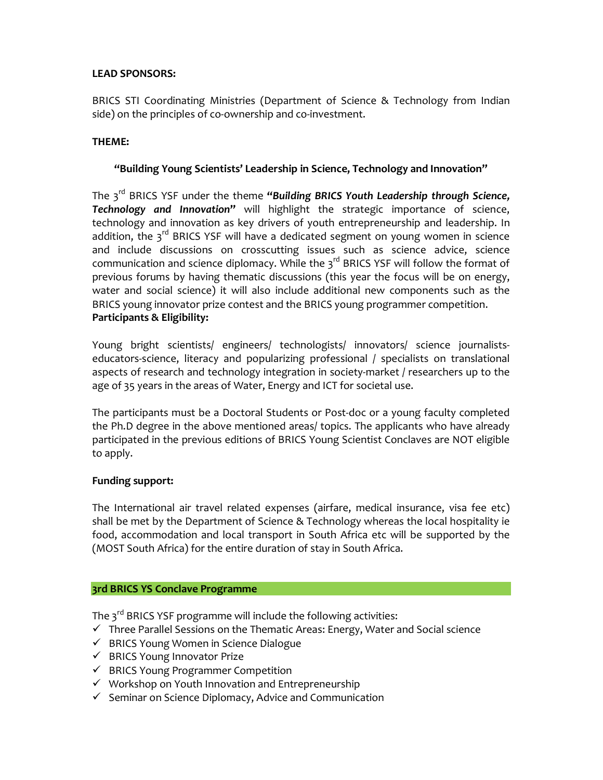# **LEAD SPONSORS:**

BRICS STI Coordinating Ministries (Department of Science & Technology from Indian side) on the principles of co-ownership and co-investment.

# **THEME:**

# **"Building Young Scientists' Leadership in Science, Technology and Innovation"**

The 3rd BRICS YSF under the theme **"***Building BRICS Youth Leadership through Science, Technology and Innovation***"** will highlight the strategic importance of science, technology and innovation as key drivers of youth entrepreneurship and leadership. In addition, the  $3^{rd}$  BRICS YSF will have a dedicated segment on young women in science and include discussions on crosscutting issues such as science advice, science communication and science diplomacy. While the  $3^{rd}$  BRICS YSF will follow the format of previous forums by having thematic discussions (this year the focus will be on energy, water and social science) it will also include additional new components such as the BRICS young innovator prize contest and the BRICS young programmer competition. **Participants & Eligibility:**

Young bright scientists/ engineers/ technologists/ innovators/ science journalistseducators-science, literacy and popularizing professional / specialists on translational aspects of research and technology integration in society-market / researchers up to the age of 35 years in the areas of Water, Energy and ICT for societal use.

The participants must be a Doctoral Students or Post-doc or a young faculty completed the Ph.D degree in the above mentioned areas/ topics. The applicants who have already participated in the previous editions of BRICS Young Scientist Conclaves are NOT eligible to apply.

## **Funding support:**

The International air travel related expenses (airfare, medical insurance, visa fee etc) shall be met by the Department of Science & Technology whereas the local hospitality ie food, accommodation and local transport in South Africa etc will be supported by the (MOST South Africa) for the entire duration of stay in South Africa.

### **3rd BRICS YS Conclave Programme**

The 3<sup>rd</sup> BRICS YSF programme will include the following activities:

- $\checkmark$  Three Parallel Sessions on the Thematic Areas: Energy, Water and Social science
- $\checkmark$  BRICS Young Women in Science Dialogue
- $\checkmark$  BRICS Young Innovator Prize
- $\checkmark$  BRICS Young Programmer Competition
- $\checkmark$  Workshop on Youth Innovation and Entrepreneurship
- $\checkmark$  Seminar on Science Diplomacy, Advice and Communication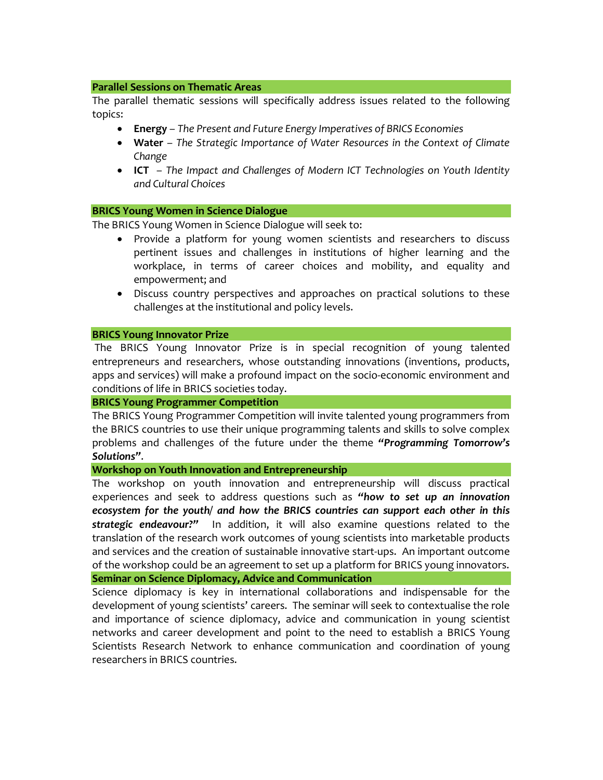#### **Parallel Sessions on Thematic Areas**

The parallel thematic sessions will specifically address issues related to the following topics:

- **Energy** *The Present and Future Energy Imperatives of BRICS Economies*
- **Water** *The Strategic Importance of Water Resources in the Context of Climate Change*
- **ICT**  *The Impact and Challenges of Modern ICT Technologies on Youth Identity and Cultural Choices*

#### **BRICS Young Women in Science Dialogue**

The BRICS Young Women in Science Dialogue will seek to:

- Provide a platform for young women scientists and researchers to discuss pertinent issues and challenges in institutions of higher learning and the workplace, in terms of career choices and mobility, and equality and empowerment; and
- Discuss country perspectives and approaches on practical solutions to these challenges at the institutional and policy levels.

#### **BRICS Young Innovator Prize**

The BRICS Young Innovator Prize is in special recognition of young talented entrepreneurs and researchers, whose outstanding innovations (inventions, products, apps and services) will make a profound impact on the socio-economic environment and conditions of life in BRICS societies today.

### **BRICS Young Programmer Competition**

The BRICS Young Programmer Competition will invite talented young programmers from the BRICS countries to use their unique programming talents and skills to solve complex problems and challenges of the future under the theme *"Programming Tomorrow's Solutions"*.

**Workshop on Youth Innovation and Entrepreneurship**

The workshop on youth innovation and entrepreneurship will discuss practical experiences and seek to address questions such as *"how to set up an innovation ecosystem for the youth/ and how the BRICS countries can support each other in this strategic endeavour?"* In addition, it will also examine questions related to the translation of the research work outcomes of young scientists into marketable products and services and the creation of sustainable innovative start-ups. An important outcome of the workshop could be an agreement to set up a platform for BRICS young innovators.

**Seminar on Science Diplomacy, Advice and Communication**

Science diplomacy is key in international collaborations and indispensable for the development of young scientists' careers. The seminar will seek to contextualise the role and importance of science diplomacy, advice and communication in young scientist networks and career development and point to the need to establish a BRICS Young Scientists Research Network to enhance communication and coordination of young researchers in BRICS countries.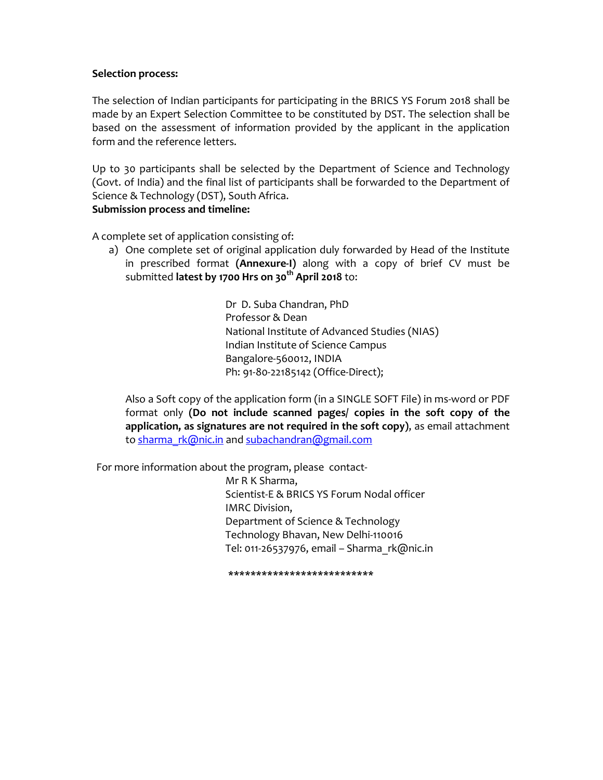### **Selection process:**

The selection of Indian participants for participating in the BRICS YS Forum 2018 shall be made by an Expert Selection Committee to be constituted by DST. The selection shall be based on the assessment of information provided by the applicant in the application form and the reference letters.

Up to 30 participants shall be selected by the Department of Science and Technology (Govt. of India) and the final list of participants shall be forwarded to the Department of Science & Technology (DST), South Africa.

### **Submission process and timeline:**

A complete set of application consisting of:

a) One complete set of original application duly forwarded by Head of the Institute in prescribed format **(Annexure-I)** along with a copy of brief CV must be submitted latest by 1700 Hrs on 30<sup>th</sup> April 2018 to:

> DrD. Suba Chandran, PhD Professor & Dean National Institute of Advanced Studies (NIAS) Indian Institute of Science Campus Bangalore-560012, INDIA Ph: 91-80-22185142 (Office-Direct);

Also a Soft copy of the application form (in a SINGLE SOFT File) in ms-word or PDF format only **(Do not include scanned pages/ copies in the soft copy of the application, as signatures are not required in the soft copy)**, as email attachment to sharma rk@nic.in and subachandran@gmail.com

For more information about the program, please contact-

Mr R K Sharma, Scientist-E & BRICS YS Forum Nodal officer IMRC Division, Department of Science & Technology Technology Bhavan, New Delhi-110016 Tel: 011-26537976, email – Sharma\_rk@nic.in

**\*\*\*\*\*\*\*\*\*\*\*\*\*\*\*\*\*\*\*\*\*\*\*\*\*\***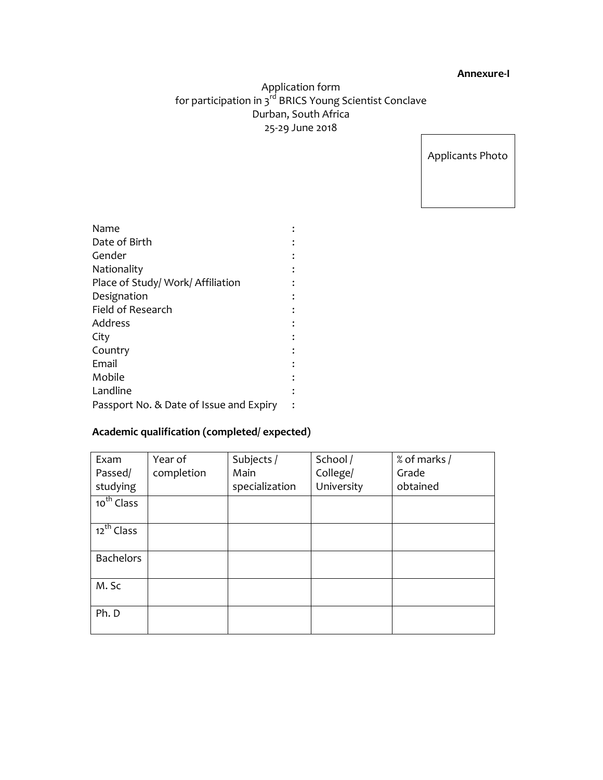#### **Annexure-I**

# Application form for participation in 3<sup>rd</sup> BRICS Young Scientist Conclave Durban, South Africa 25-29 June 2018

Applicants Photo

| Name                                    |  |
|-----------------------------------------|--|
| Date of Birth                           |  |
| Gender                                  |  |
| Nationality                             |  |
| Place of Study/ Work/ Affiliation       |  |
| Designation                             |  |
| Field of Research                       |  |
| Address                                 |  |
| City                                    |  |
| Country                                 |  |
| Email                                   |  |
| Mobile                                  |  |
| Landline                                |  |
| Passport No. & Date of Issue and Expiry |  |
|                                         |  |

# **Academic qualification (completed/ expected)**

| Exam             | Year of    | Subjects /     | School /   | % of marks / |
|------------------|------------|----------------|------------|--------------|
| Passed/          | completion | Main           | College/   | Grade        |
| studying         |            | specialization | University | obtained     |
| $10^{th}$ Class  |            |                |            |              |
|                  |            |                |            |              |
| $12^{th}$ Class  |            |                |            |              |
|                  |            |                |            |              |
| <b>Bachelors</b> |            |                |            |              |
|                  |            |                |            |              |
| M. Sc            |            |                |            |              |
|                  |            |                |            |              |
| Ph. D            |            |                |            |              |
|                  |            |                |            |              |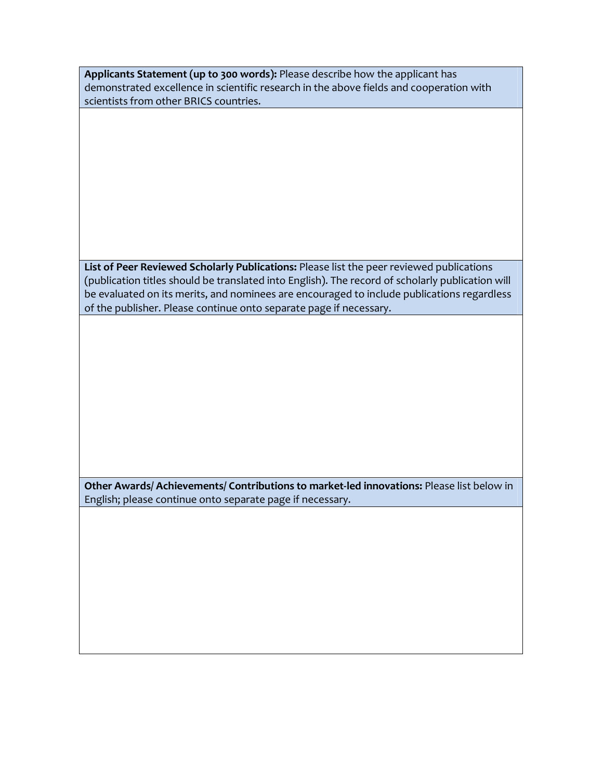**Applicants Statement (up to 300 words):** Please describe how the applicant has demonstrated excellence in scientific research in the above fields and cooperation with scientists from other BRICS countries.

**List of Peer Reviewed Scholarly Publications:** Please list the peer reviewed publications (publication titles should be translated into English). The record of scholarly publication will be evaluated on its merits, and nominees are encouraged to include publications regardless of the publisher. Please continue onto separate page if necessary.

**Other Awards/ Achievements/ Contributions to market-led innovations:** Please list below in English; please continue onto separate page if necessary.